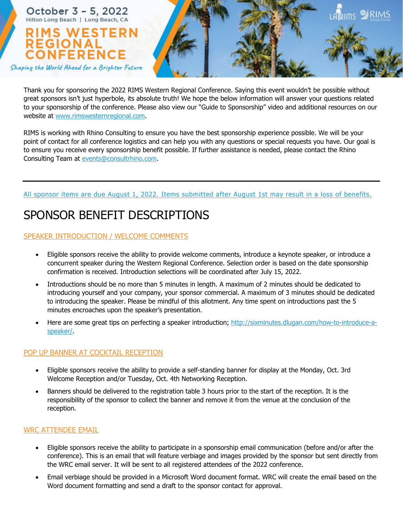

Thank you for sponsoring the 2022 RIMS Western Regional Conference. Saying this event wouldn't be possible without great sponsors isn't just hyperbole, its absolute truth! We hope the below information will answer your questions related to your sponsorship of the conference. Please also view our "Guide to Sponsorship" video and additional resources on our website at www.rimswesternregional.com.

RIMS is working with Rhino Consulting to ensure you have the best sponsorship experience possible. We will be your point of contact for all conference logistics and can help you with any questions or special requests you have. Our goal is to ensure you receive every sponsorship benefit possible. If further assistance is needed, please contact the Rhino Consulting Team at events@consultrhino.com.

All sponsor items are due August 1, 2022. Items submitted after August 1st may result in a loss of benefits.

# SPONSOR BENEFIT DESCRIPTIONS

# SPEAKER INTRODUCTION / WELCOME COMMENTS

- Eligible sponsors receive the ability to provide welcome comments, introduce a keynote speaker, or introduce a concurrent speaker during the Western Regional Conference. Selection order is based on the date sponsorship confirmation is received. Introduction selections will be coordinated after July 15, 2022.
- Introductions should be no more than 5 minutes in length. A maximum of 2 minutes should be dedicated to introducing yourself and your company, your sponsor commercial. A maximum of 3 minutes should be dedicated to introducing the speaker. Please be mindful of this allotment. Any time spent on introductions past the 5 minutes encroaches upon the speaker's presentation.
- Here are some great tips on perfecting a speaker introduction; http://sixminutes.dlugan.com/how-to-introduce-aspeaker/.

# POP UP BANNER AT COCKTAIL RECEPTION

- Eligible sponsors receive the ability to provide a self-standing banner for display at the Monday, Oct. 3rd Welcome Reception and/or Tuesday, Oct. 4th Networking Reception.
- Banners should be delivered to the registration table 3 hours prior to the start of the reception. It is the responsibility of the sponsor to collect the banner and remove it from the venue at the conclusion of the reception.

# WRC ATTENDEE EMAIL

- Eligible sponsors receive the ability to participate in a sponsorship email communication (before and/or after the conference). This is an email that will feature verbiage and images provided by the sponsor but sent directly from the WRC email server. It will be sent to all registered attendees of the 2022 conference.
- Email verbiage should be provided in a Microsoft Word document format. WRC will create the email based on the Word document formatting and send a draft to the sponsor contact for approval.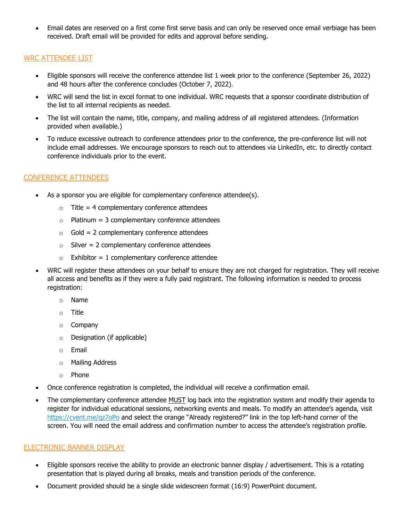• Email dates are reserved on a first come first serve basis and can only be reserved once email verbiage has been received. Draft email will be provided for edits and approval before sending.

#### WRC ATTENDEE LIST

- Eligible sponsors will receive the conference attendee list 1 week prior to the conference (September 26, 2022) and 48 hours after the conference concludes (October 7, 2022).
- WRC will send the list in excel format to one individual. WRC requests that a sponsor coordinate distribution of the list to all internal recipients as needed.
- The list will contain the name, title, company, and mailing address of all registered attendees. (Information provided when available.)
- To reduce excessive outreach to conference attendees prior to the conference, the pre-conference list will not include email addresses. We encourage sponsors to reach out to attendees via LinkedIn, etc. to directly contact conference individuals prior to the event.

#### CONFERENCE ATTENDEES

- As a sponsor you are eligible for complementary conference attendee(s).
	- $\circ$  Title = 4 complementary conference attendees
	- $\circ$  Platinum = 3 complementary conference attendees
	- $\circ$  Gold = 2 complementary conference attendees
	- $\circ$  Silver = 2 complementary conference attendees
	- $\circ$  Exhibitor = 1 complementary conference attendee
- WRC will register these attendees on your behalf to ensure they are not charged for registration. They will receive all access and benefits as if they were a fully paid registrant. The following information is needed to process registration:
	- o Name
	- o Title
	- o Company
	- o Designation (if applicable)
	- o Email
	- o Mailing Address
	- o Phone
- Once conference registration is completed, the individual will receive a confirmation email.
- The complementary conference attendee MUST log back into the registration system and modify their agenda to register for individual educational sessions, networking events and meals. To modify an attendee's agenda, visit https://cvent.me/qz7oPo and select the orange "Already registered?" link in the top left-hand corner of the screen. You will need the email address and confirmation number to access the attendee's registration profile.

#### ELECTRONIC BANNER DISPLAY

- Eligible sponsors receive the ability to provide an electronic banner display / advertisement. This is a rotating presentation that is played during all breaks, meals and transition periods of the conference.
- Document provided should be a single slide widescreen format (16:9) PowerPoint document.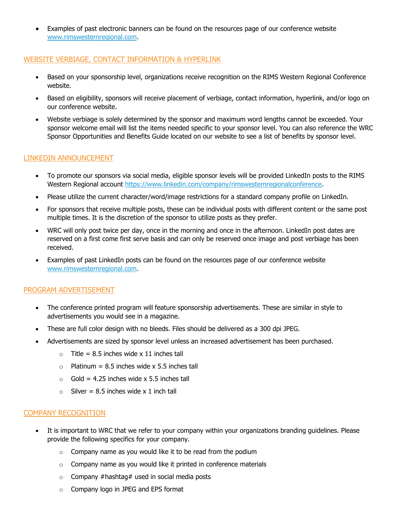• Examples of past electronic banners can be found on the resources page of our conference website www.rimswesternregional.com.

#### WEBSITE VERBIAGE, CONTACT INFORMATION & HYPERLINK

- Based on your sponsorship level, organizations receive recognition on the RIMS Western Regional Conference website.
- Based on eligibility, sponsors will receive placement of verbiage, contact information, hyperlink, and/or logo on our conference website.
- Website verbiage is solely determined by the sponsor and maximum word lengths cannot be exceeded. Your sponsor welcome email will list the items needed specific to your sponsor level. You can also reference the WRC Sponsor Opportunities and Benefits Guide located on our website to see a list of benefits by sponsor level.

### LINKEDIN ANNOUNCEMENT

- To promote our sponsors via social media, eligible sponsor levels will be provided LinkedIn posts to the RIMS Western Regional account https://www.linkedin.com/company/rimswesternregionalconference.
- Please utilize the current character/word/image restrictions for a standard company profile on LinkedIn.
- For sponsors that receive multiple posts, these can be individual posts with different content or the same post multiple times. It is the discretion of the sponsor to utilize posts as they prefer.
- WRC will only post twice per day, once in the morning and once in the afternoon. LinkedIn post dates are reserved on a first come first serve basis and can only be reserved once image and post verbiage has been received.
- Examples of past LinkedIn posts can be found on the resources page of our conference website www.rimswesternregional.com.

#### PROGRAM ADVERTISEMENT

- The conference printed program will feature sponsorship advertisements. These are similar in style to advertisements you would see in a magazine.
- These are full color design with no bleeds. Files should be delivered as a 300 dpi JPEG.
- Advertisements are sized by sponsor level unless an increased advertisement has been purchased.
	- $\circ$  Title = 8.5 inches wide x 11 inches tall
	- $\circ$  Platinum = 8.5 inches wide x 5.5 inches tall
	- $\circ$  Gold = 4.25 inches wide x 5.5 inches tall
	- $\circ$  Silver = 8.5 inches wide x 1 inch tall

#### COMPANY RECOGNITION

- It is important to WRC that we refer to your company within your organizations branding guidelines. Please provide the following specifics for your company.
	- $\circ$  Company name as you would like it to be read from the podium
	- $\circ$  Company name as you would like it printed in conference materials
	- $\circ$  Company #hashtag# used in social media posts
	- o Company logo in JPEG and EPS format